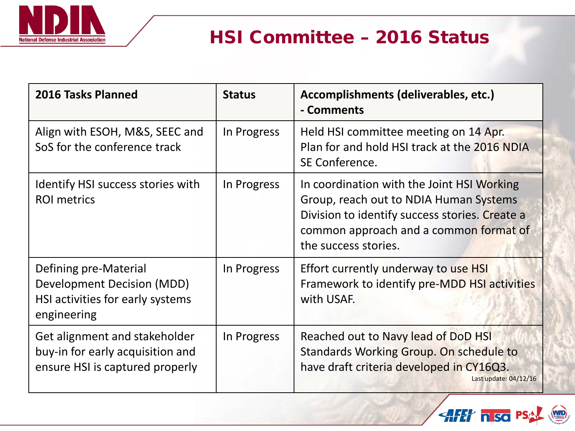

## HSI Committee – 2016 Status

| 2016 Tasks Planned                                                                                            | <b>Status</b> | Accomplishments (deliverables, etc.)<br>- Comments                                                                                                                                                       |
|---------------------------------------------------------------------------------------------------------------|---------------|----------------------------------------------------------------------------------------------------------------------------------------------------------------------------------------------------------|
| Align with ESOH, M&S, SEEC and<br>SoS for the conference track                                                | In Progress   | Held HSI committee meeting on 14 Apr.<br>Plan for and hold HSI track at the 2016 NDIA<br>SE Conference.                                                                                                  |
| Identify HSI success stories with<br><b>ROI</b> metrics                                                       | In Progress   | In coordination with the Joint HSI Working<br>Group, reach out to NDIA Human Systems<br>Division to identify success stories. Create a<br>common approach and a common format of<br>the success stories. |
| Defining pre-Material<br><b>Development Decision (MDD)</b><br>HSI activities for early systems<br>engineering | In Progress   | Effort currently underway to use HSI<br>Framework to identify pre-MDD HSI activities<br>with USAF.                                                                                                       |
| Get alignment and stakeholder<br>buy-in for early acquisition and<br>ensure HSI is captured properly          | In Progress   | Reached out to Navy lead of DoD HSI<br>Standards Working Group. On schedule to<br>have draft criteria developed in CY16Q3.<br>Last update: 04/12/16                                                      |